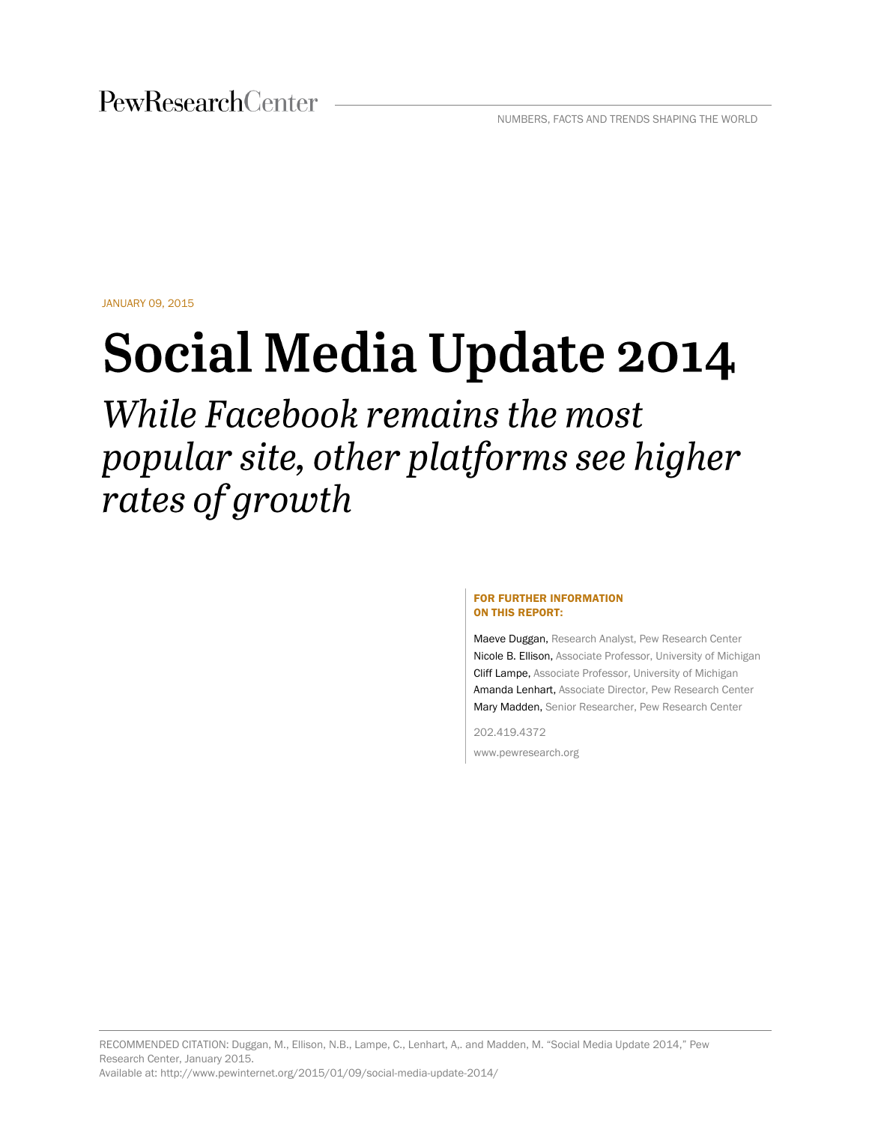JANUARY 09, 2015

# **Social Media Update 2014**

While Facebook remains the most popular site, other platforms see higher rates of growth

#### FOR FURTHER INFORMATION ON THIS REPORT:

Maeve Duggan, Research Analyst, Pew Research Center Nicole B. Ellison, Associate Professor, University of Michigan Cliff Lampe, Associate Professor, University of Michigan Amanda Lenhart, Associate Director, Pew Research Center Mary Madden, Senior Researcher, Pew Research Center

202.419.4372

www.pewresearch.org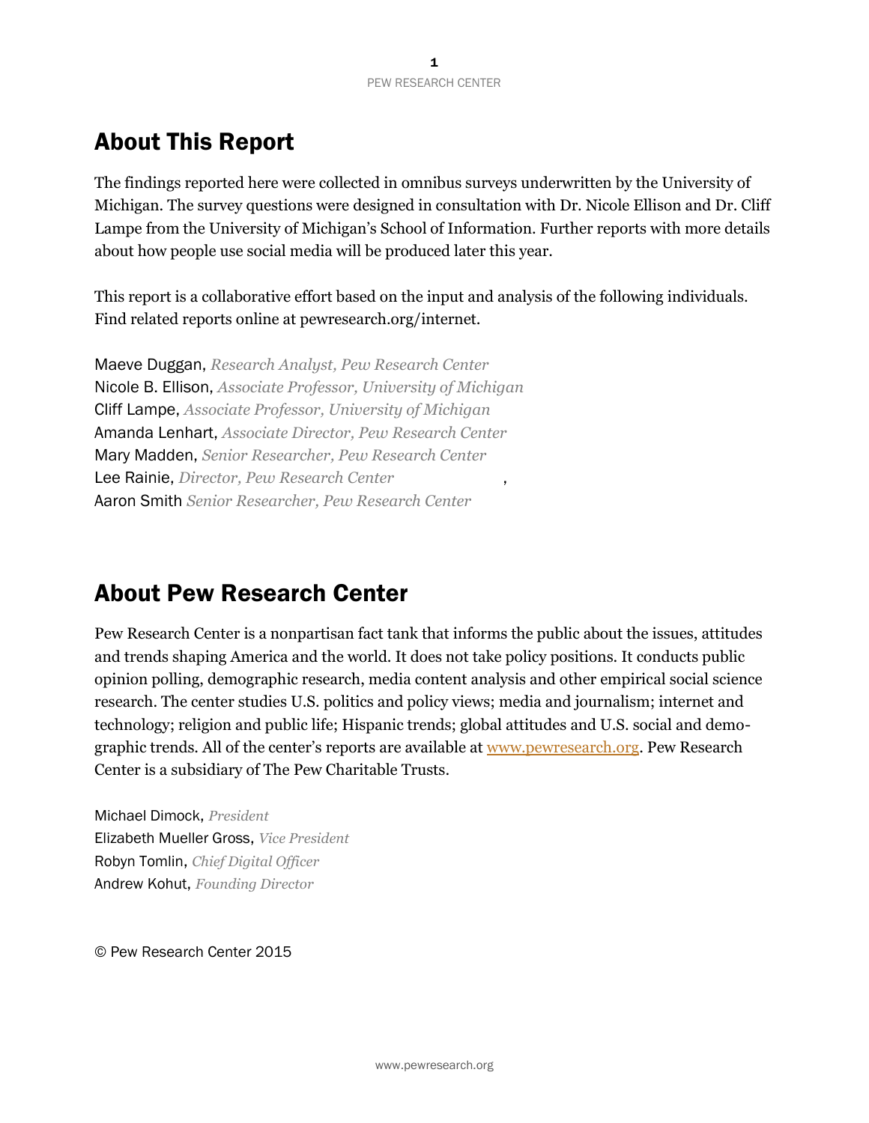# About This Report

The findings reported here were collected in omnibus surveys underwritten by the University of Michigan. The survey questions were designed in consultation with Dr. Nicole Ellison and Dr. Cliff Lampe from the University of Michigan's School of Information. Further reports with more details about how people use social media will be produced later this year.

This report is a collaborative effort based on the input and analysis of the following individuals. Find related reports online at pewresearch.org/internet.

Maeve Duggan, *Research Analyst, Pew Research Center* Nicole B. Ellison, *Associate Professor, University of Michigan* Cliff Lampe, *Associate Professor, University of Michigan* Amanda Lenhart, *Associate Director, Pew Research Center* Mary Madden, *Senior Researcher, Pew Research Center* Lee Rainie, *Director, Pew Research Center* , Aaron Smith *Senior Researcher, Pew Research Center*

# About Pew Research Center

Pew Research Center is a nonpartisan fact tank that informs the public about the issues, attitudes and trends shaping America and the world. It does not take policy positions. It conducts public opinion polling, demographic research, media content analysis and other empirical social science research. The center studies U.S. politics and policy views; media and journalism; internet and technology; religion and public life; Hispanic trends; global attitudes and U.S. social and demographic trends. All of the center's reports are available at [www.pewresearch.org.](http://www.pewresearch.org/) Pew Research Center is a subsidiary of The Pew Charitable Trusts.

Michael Dimock, *President* Elizabeth Mueller Gross, *Vice President* Robyn Tomlin, *Chief Digital Officer* Andrew Kohut, *Founding Director*

© Pew Research Center 2015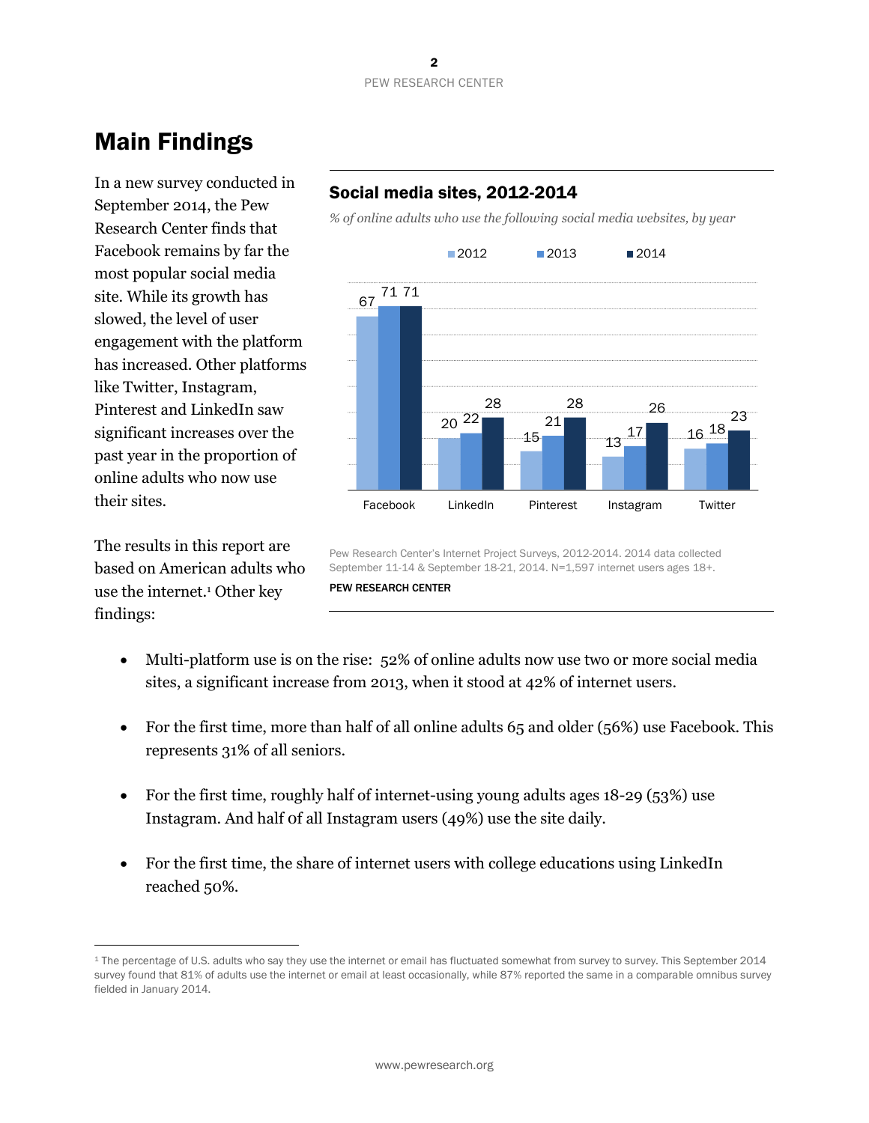# Main Findings

In a new survey conducted in September 2014, the Pew Research Center finds that Facebook remains by far the most popular social media site. While its growth has slowed, the level of user engagement with the platform has increased. Other platforms like Twitter, Instagram, Pinterest and LinkedIn saw significant increases over the past year in the proportion of online adults who now use their sites.

The results in this report are based on American adults who use the internet. <sup>1</sup> Other key findings:

 $\overline{a}$ 

# Social media sites, 2012-2014

*% of online adults who use the following social media websites, by year*



Pew Research Center's Internet Project Surveys, 2012-2014. 2014 data collected September 11-14 & September 18-21, 2014. N=1,597 internet users ages 18+. PEW RESEARCH CENTER

- Multi-platform use is on the rise: 52% of online adults now use two or more social media sites, a significant increase from 2013, when it stood at 42% of internet users.
- For the first time, more than half of all online adults 65 and older (56%) use Facebook. This represents 31% of all seniors.
- For the first time, roughly half of internet-using young adults ages 18-29 (53%) use Instagram. And half 0f all Instagram users (49%) use the site daily.
- For the first time, the share of internet users with college educations using LinkedIn reached 50%.

<sup>&</sup>lt;sup>1</sup> The percentage of U.S. adults who say they use the internet or email has fluctuated somewhat from survey to survey. This September 2014 survey found that 81% of adults use the internet or email at least occasionally, while 87% reported the same in a comparable omnibus survey fielded in January 2014.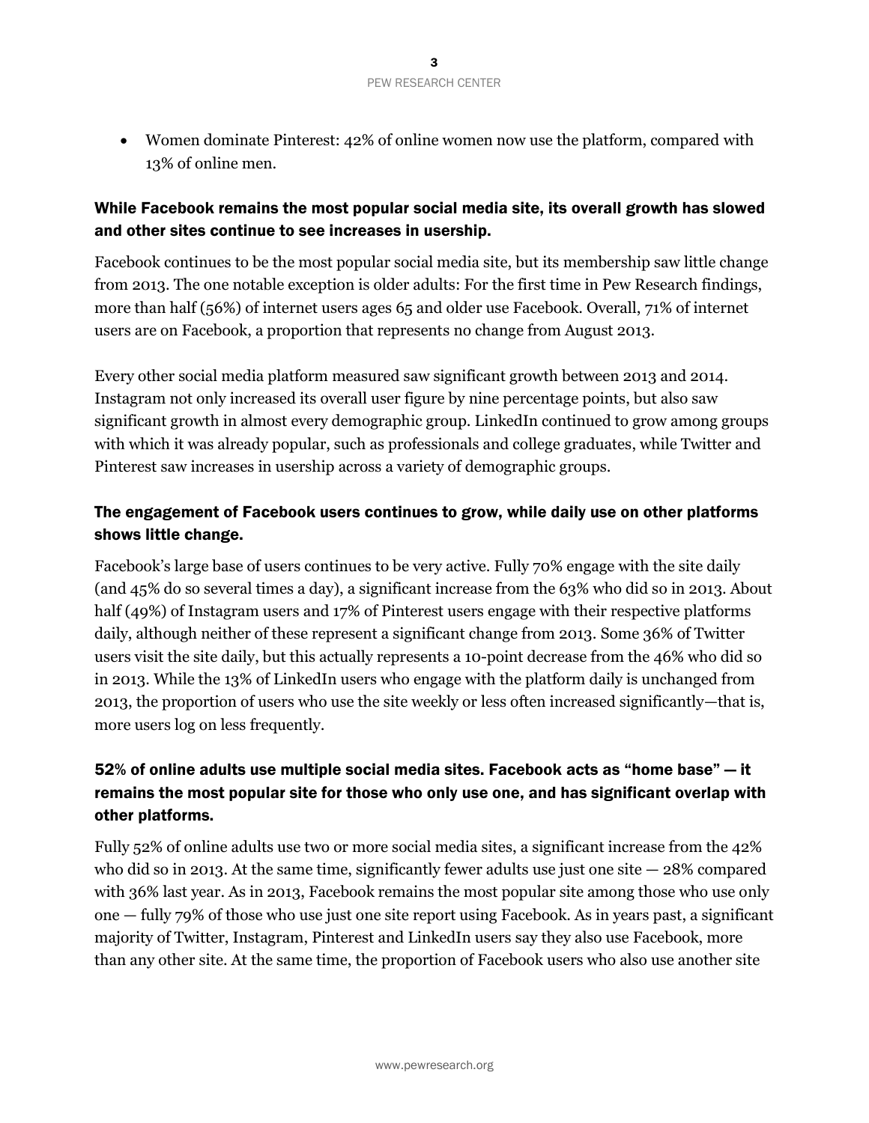Women dominate Pinterest: 42% of online women now use the platform, compared with 13% of online men.

### While Facebook remains the most popular social media site, its overall growth has slowed and other sites continue to see increases in usership.

Facebook continues to be the most popular social media site, but its membership saw little change from 2013. The one notable exception is older adults: For the first time in Pew Research findings, more than half (56%) of internet users ages 65 and older use Facebook. Overall, 71% of internet users are on Facebook, a proportion that represents no change from August 2013.

Every other social media platform measured saw significant growth between 2013 and 2014. Instagram not only increased its overall user figure by nine percentage points, but also saw significant growth in almost every demographic group. LinkedIn continued to grow among groups with which it was already popular, such as professionals and college graduates, while Twitter and Pinterest saw increases in usership across a variety of demographic groups.

# The engagement of Facebook users continues to grow, while daily use on other platforms shows little change.

Facebook's large base of users continues to be very active. Fully 70% engage with the site daily (and 45% do so several times a day), a significant increase from the 63% who did so in 2013. About half (49%) of Instagram users and 17% of Pinterest users engage with their respective platforms daily, although neither of these represent a significant change from 2013. Some 36% of Twitter users visit the site daily, but this actually represents a 10-point decrease from the 46% who did so in 2013. While the 13% of LinkedIn users who engage with the platform daily is unchanged from 2013, the proportion of users who use the site weekly or less often increased significantly—that is, more users log on less frequently.

# 52% of online adults use multiple social media sites. Facebook acts as "home base" — it remains the most popular site for those who only use one, and has significant overlap with other platforms.

Fully 52% of online adults use two or more social media sites, a significant increase from the 42% who did so in 2013. At the same time, significantly fewer adults use just one site  $-28\%$  compared with 36% last year. As in 2013, Facebook remains the most popular site among those who use only one — fully 79% of those who use just one site report using Facebook. As in years past, a significant majority of Twitter, Instagram, Pinterest and LinkedIn users say they also use Facebook, more than any other site. At the same time, the proportion of Facebook users who also use another site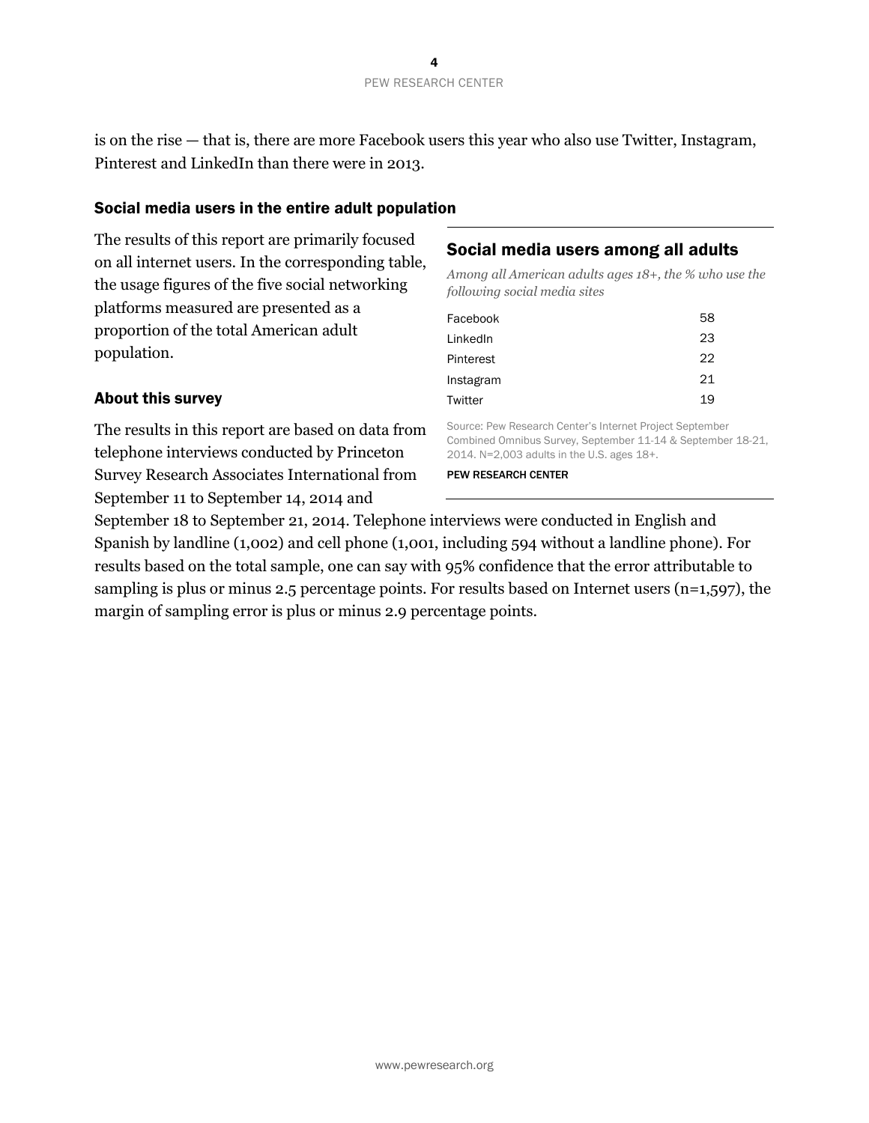is on the rise — that is, there are more Facebook users this year who also use Twitter, Instagram, Pinterest and LinkedIn than there were in 2013.

### Social media users in the entire adult population

The results of this report are primarily focused on all internet users. In the corresponding table, the usage figures of the five social networking platforms measured are presented as a proportion of the total American adult population.

The results in this report are based on data from telephone interviews conducted by Princeton Survey Research Associates International from

September 11 to September 14, 2014 and

About this survey

## Social media users among all adults

*Among all American adults ages 18+, the % who use the following social media sites* 

| Facebook  | 58 |
|-----------|----|
| LinkedIn  | 23 |
| Pinterest | 22 |
| Instagram | 21 |
| Twitter   | 19 |
|           |    |

Source: Pew Research Center's Internet Project September Combined Omnibus Survey, September 11-14 & September 18-21, 2014. N=2,003 adults in the U.S. ages 18+.

#### PEW RESEARCH CENTER

September 18 to September 21, 2014. Telephone interviews were conducted in English and Spanish by landline (1,002) and cell phone (1,001, including 594 without a landline phone). For results based on the total sample, one can say with 95% confidence that the error attributable to sampling is plus or minus 2.5 percentage points. For results based on Internet users (n=1,597), the margin of sampling error is plus or minus 2.9 percentage points.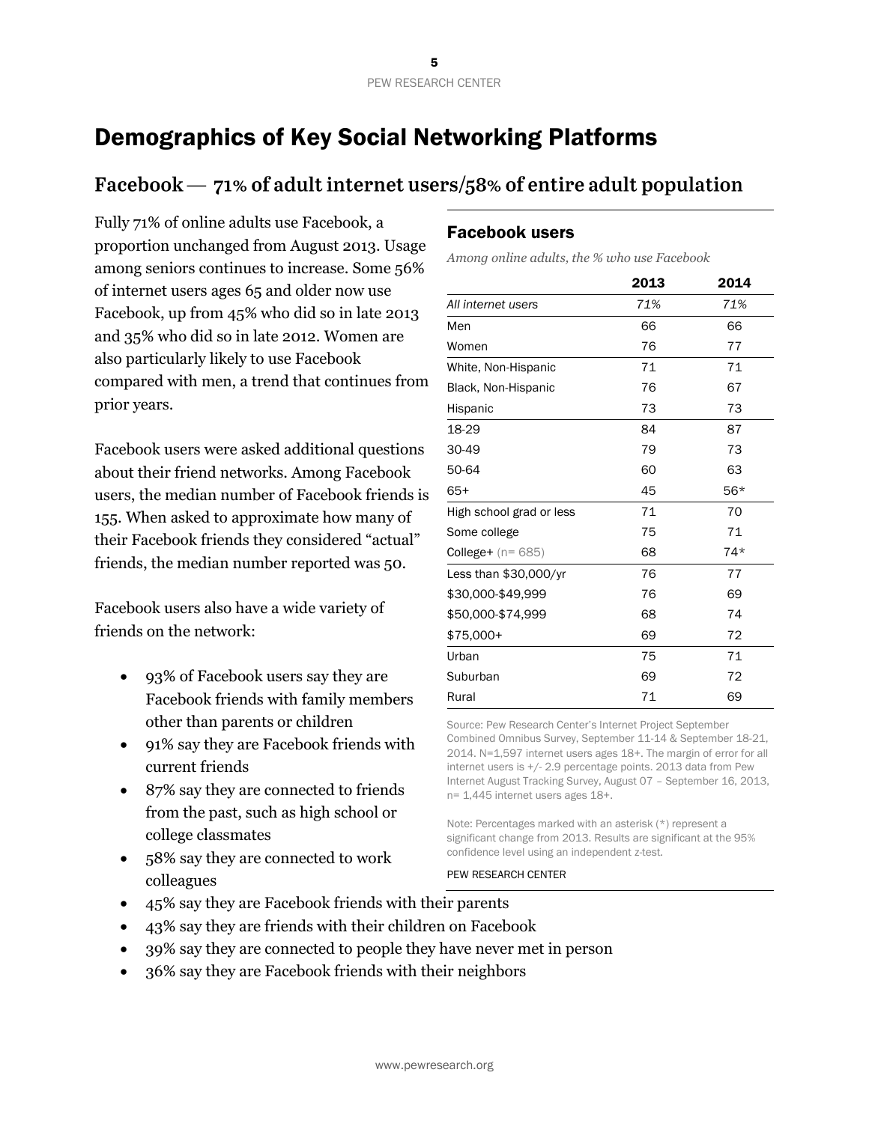# Demographics of Key Social Networking Platforms

# Facebook  $-71\%$  of adult internet users/58% of entire adult population

Fully 71% of online adults use Facebook, a proportion unchanged from August 2013. Usage among seniors continues to increase. Some 56% of internet users ages 65 and older now use Facebook, up from 45% who did so in late 2013 and 35% who did so in late 2012. Women are also particularly likely to use Facebook compared with men, a trend that continues from prior years.

Facebook users were asked additional questions about their friend networks. Among Facebook users, the median number of Facebook friends is 155. When asked to approximate how many of their Facebook friends they considered "actual" friends, the median number reported was 50.

Facebook users also have a wide variety of friends on the network:

- 93% of Facebook users say they are Facebook friends with family members other than parents or children
- 91% say they are Facebook friends with current friends
- 87% say they are connected to friends from the past, such as high school or college classmates
- 58% say they are connected to work colleagues

### Facebook users

*Among online adults, the % who use Facebook*

|                               | 2013 | 2014  |
|-------------------------------|------|-------|
| All internet users            | 71%  | 71%   |
| Men                           | 66   | 66    |
| Women                         | 76   | 77    |
| White, Non-Hispanic           | 71   | 71    |
| Black, Non-Hispanic           | 76   | 67    |
| Hispanic                      | 73   | 73    |
| 18-29                         | 84   | 87    |
| 30-49                         | 79   | 73    |
| 50-64                         | 60   | 63    |
| $65+$                         | 45   | $56*$ |
| High school grad or less      | 71   | 70    |
| Some college                  | 75   | 71    |
| <b>College+</b> ( $n = 685$ ) | 68   | $74*$ |
| Less than \$30,000/yr         | 76   | 77    |
| \$30,000-\$49,999             | 76   | 69    |
| \$50,000-\$74,999             | 68   | 74    |
| \$75,000+                     | 69   | 72    |
| Urban                         | 75   | 71    |
| Suburban                      | 69   | 72    |
| Rural                         | 71   | 69    |

Source: Pew Research Center's Internet Project September Combined Omnibus Survey, September 11-14 & September 18-21, 2014. N=1,597 internet users ages 18+. The margin of error for all internet users is +/- 2.9 percentage points. 2013 data from Pew Internet August Tracking Survey, August 07 – September 16, 2013, n= 1,445 internet users ages 18+.

Note: Percentages marked with an asterisk (\*) represent a significant change from 2013. Results are significant at the 95% confidence level using an independent z-test.

- 45% say they are Facebook friends with their parents
- 43% say they are friends with their children on Facebook
- 39% say they are connected to people they have never met in person
- 36% say they are Facebook friends with their neighbors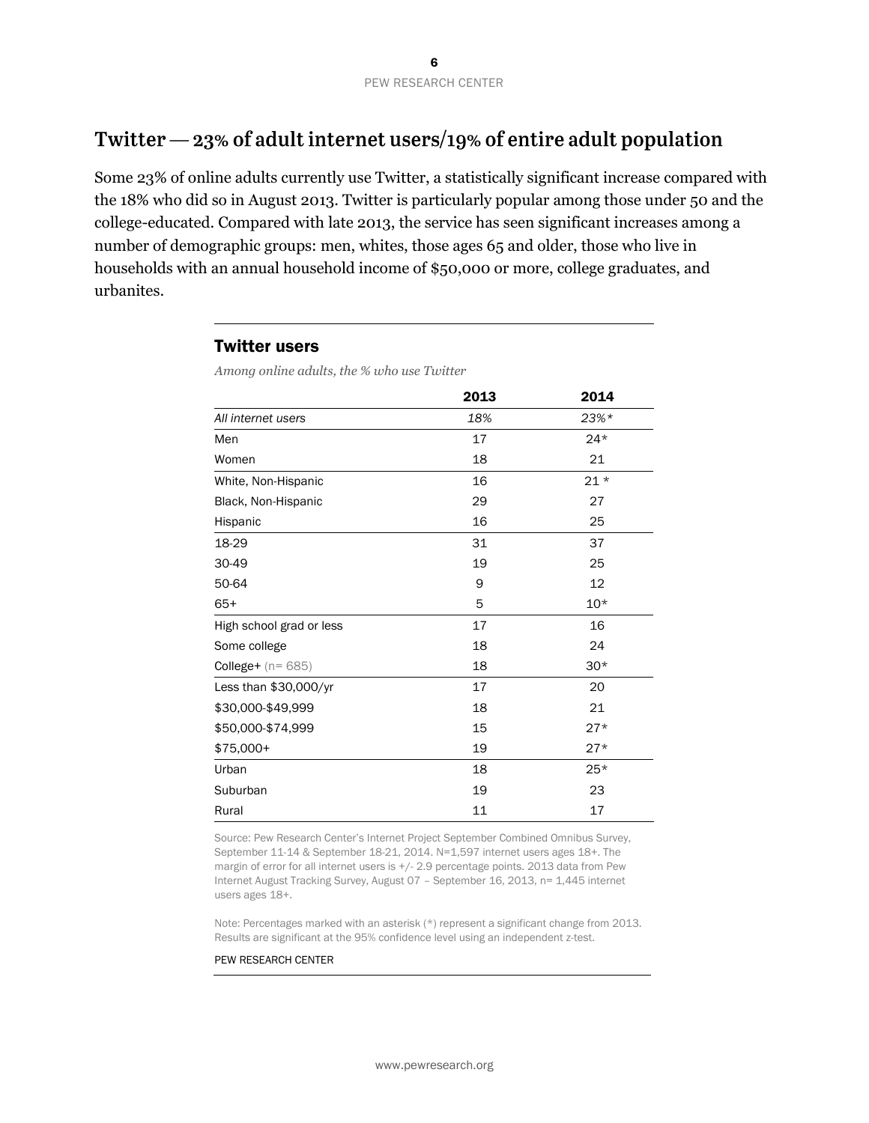# Twitter  $-23\%$  of adult internet users/19% of entire adult population

Some 23% of online adults currently use Twitter, a statistically significant increase compared with the 18% who did so in August 2013. Twitter is particularly popular among those under 50 and the college-educated. Compared with late 2013, the service has seen significant increases among a number of demographic groups: men, whites, those ages 65 and older, those who live in households with an annual household income of \$50,000 or more, college graduates, and urbanites.

#### Twitter users

*Among online adults, the % who use Twitter*

|                          | 2013 | 2014   |
|--------------------------|------|--------|
| All internet users       | 18%  | $23%*$ |
| Men                      | 17   | $24*$  |
| Women                    | 18   | 21     |
| White, Non-Hispanic      | 16   | $21 *$ |
| Black, Non-Hispanic      | 29   | 27     |
| Hispanic                 | 16   | 25     |
| 18-29                    | 31   | 37     |
| 30-49                    | 19   | 25     |
| 50-64                    | 9    | 12     |
| $65+$                    | 5    | $10*$  |
| High school grad or less | 17   | 16     |
| Some college             | 18   | 24     |
| College+ $(n=685)$       | 18   | $30*$  |
| Less than \$30,000/yr    | 17   | 20     |
| \$30,000-\$49,999        | 18   | 21     |
| \$50,000-\$74,999        | 15   | $27*$  |
| \$75,000+                | 19   | $27*$  |
| Urban                    | 18   | $25*$  |
| Suburban                 | 19   | 23     |
| Rural                    | 11   | 17     |

Source: Pew Research Center's Internet Project September Combined Omnibus Survey, September 11-14 & September 18-21, 2014. N=1,597 internet users ages 18+. The margin of error for all internet users is +/- 2.9 percentage points. 2013 data from Pew Internet August Tracking Survey, August 07 – September 16, 2013, n= 1,445 internet users ages 18+.

Note: Percentages marked with an asterisk (\*) represent a significant change from 2013. Results are significant at the 95% confidence level using an independent z-test.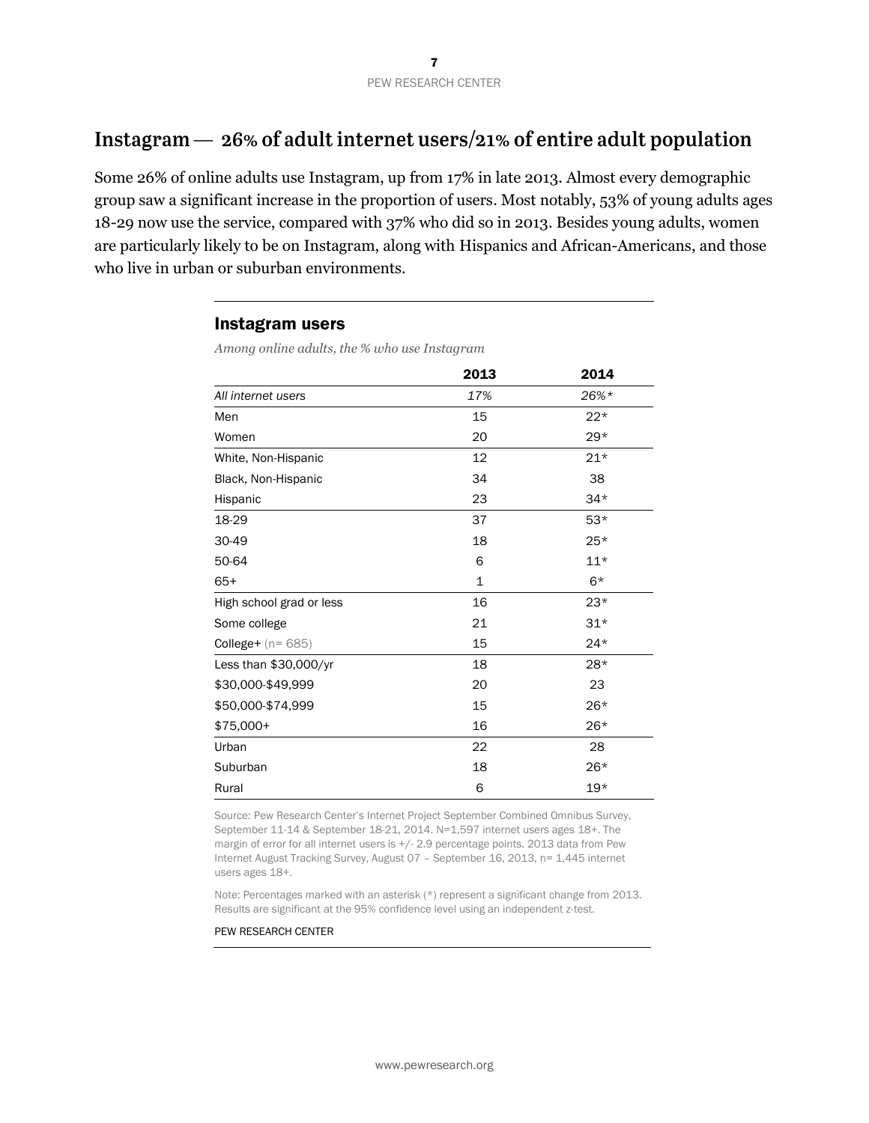# Instagram  $-26\%$  of adult internet users/21% of entire adult population

Some 26% of online adults use Instagram, up from 17% in late 2013. Almost every demographic group saw a significant increase in the proportion of users. Most notably, 53% of young adults ages 18-29 now use the service, compared with 37% who did so in 2013. Besides young adults, women are particularly likely to be on Instagram, along with Hispanics and African-Americans, and those who live in urban or suburban environments.

#### Instagram users

*Among online adults, the % who use Instagram*

|                          | 2013 | 2014  |
|--------------------------|------|-------|
| All internet users       | 17%  | 26%*  |
| Men                      | 15   | $22*$ |
| Women                    | 20   | $29*$ |
| White, Non-Hispanic      | 12   | $21*$ |
| Black, Non-Hispanic      | 34   | 38    |
| Hispanic                 | 23   | $34*$ |
| 18-29                    | 37   | $53*$ |
| 30-49                    | 18   | $25*$ |
| 50-64                    | 6    | $11*$ |
| $65+$                    | 1    | $6*$  |
| High school grad or less | 16   | $23*$ |
| Some college             | 21   | $31*$ |
| College+ $(n = 685)$     | 15   | $24*$ |
| Less than \$30,000/yr    | 18   | $28*$ |
| \$30,000-\$49,999        | 20   | 23    |
| \$50,000-\$74,999        | 15   | $26*$ |
| \$75,000+                | 16   | $26*$ |
| Urban                    | 22   | 28    |
| Suburban                 | 18   | $26*$ |
| Rural                    | 6    | $19*$ |

Source: Pew Research Center's Internet Project September Combined Omnibus Survey, September 11-14 & September 18-21, 2014. N=1,597 internet users ages 18+. The margin of error for all internet users is +/- 2.9 percentage points. 2013 data from Pew Internet August Tracking Survey, August 07 – September 16, 2013, n= 1,445 internet users ages 18+.

Note: Percentages marked with an asterisk (\*) represent a significant change from 2013. Results are significant at the 95% confidence level using an independent z-test.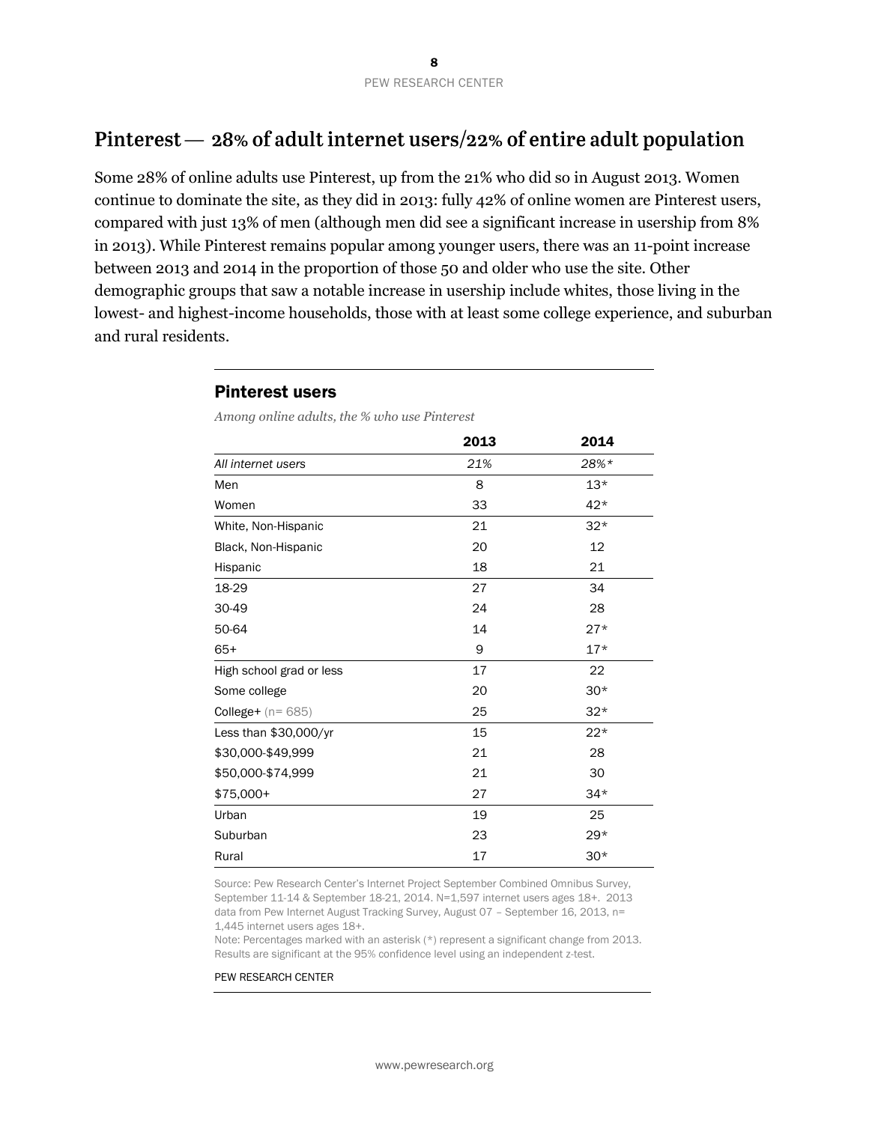# Pinterest  $-28\%$  of adult internet users/22% of entire adult population

Some 28% of online adults use Pinterest, up from the 21% who did so in August 2013. Women continue to dominate the site, as they did in 2013: fully 42% of online women are Pinterest users, compared with just 13% of men (although men did see a significant increase in usership from 8% in 2013). While Pinterest remains popular among younger users, there was an 11-point increase between 2013 and 2014 in the proportion of those 50 and older who use the site. Other demographic groups that saw a notable increase in usership include whites, those living in the lowest- and highest-income households, those with at least some college experience, and suburban and rural residents.

|                          | 2013 | 2014  |
|--------------------------|------|-------|
| All internet users       | 21%  | 28%*  |
| Men                      | 8    | $13*$ |
| Women                    | 33   | $42*$ |
| White, Non-Hispanic      | 21   | $32*$ |
| Black, Non-Hispanic      | 20   | 12    |
| Hispanic                 | 18   | 21    |
| 18-29                    | 27   | 34    |
| 30-49                    | 24   | 28    |
| 50-64                    | 14   | $27*$ |
| $65+$                    | 9    | $17*$ |
| High school grad or less | 17   | 22    |
| Some college             | 20   | $30*$ |
| College+ $(n=685)$       | 25   | $32*$ |
| Less than \$30,000/yr    | 15   | $22*$ |
| \$30,000-\$49,999        | 21   | 28    |
| \$50,000-\$74,999        | 21   | 30    |
| \$75,000+                | 27   | $34*$ |
| Urban                    | 19   | 25    |
| Suburban                 | 23   | $29*$ |
| Rural                    | 17   | $30*$ |

Pinterest users

*Among online adults, the % who use Pinterest*

Source: Pew Research Center's Internet Project September Combined Omnibus Survey, September 11-14 & September 18-21, 2014. N=1,597 internet users ages 18+. 2013 data from Pew Internet August Tracking Survey, August 07 – September 16, 2013, n= 1,445 internet users ages 18+.

Note: Percentages marked with an asterisk (\*) represent a significant change from 2013. Results are significant at the 95% confidence level using an independent z-test.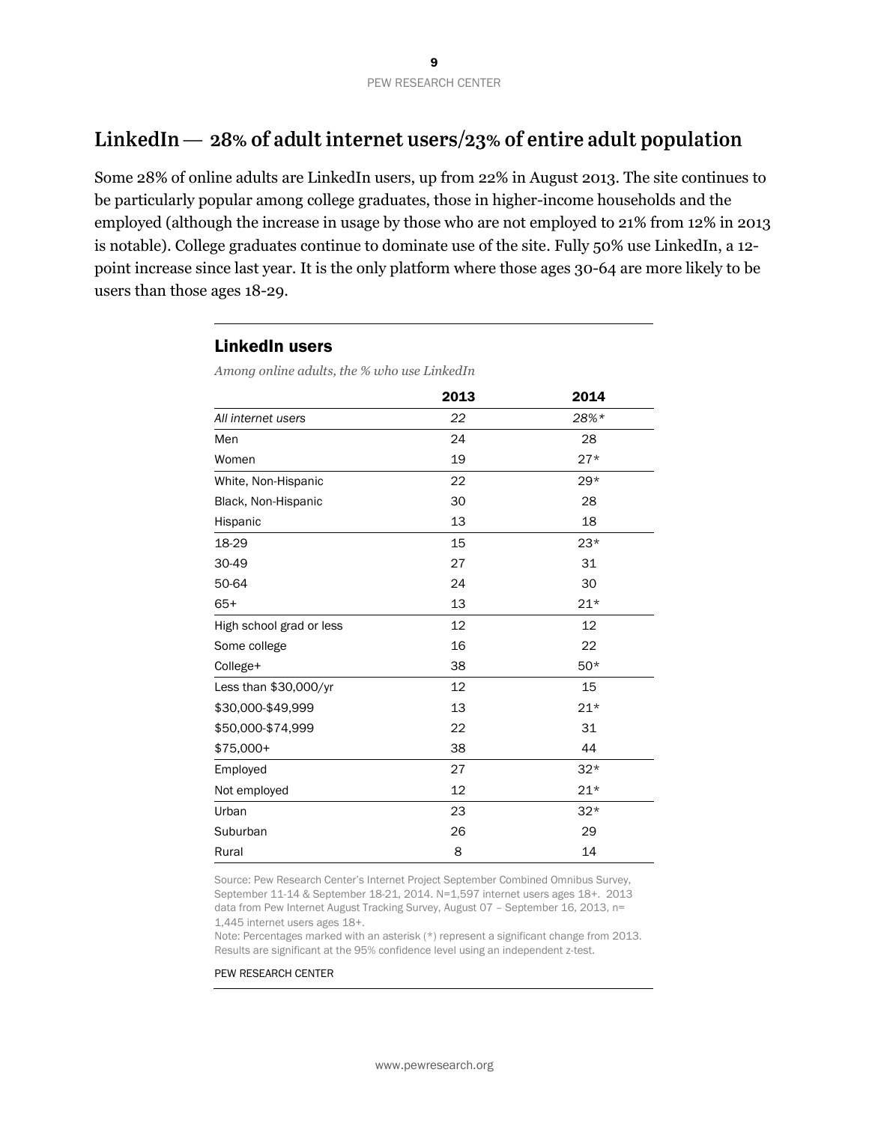# LinkedIn  $-28\%$  of adult internet users/23% of entire adult population

Some 28% of online adults are LinkedIn users, up from 22% in August 2013. The site continues to be particularly popular among college graduates, those in higher-income households and the employed (although the increase in usage by those who are not employed to 21% from 12% in 2013 is notable). College graduates continue to dominate use of the site. Fully 50% use LinkedIn, a 12 point increase since last year. It is the only platform where those ages 30-64 are more likely to be users than those ages 18-29.

#### LinkedIn users

*Among online adults, the % who use LinkedIn*

|                          | 2013 | 2014  |
|--------------------------|------|-------|
| All internet users       | 22   | 28%*  |
| Men                      | 24   | 28    |
| Women                    | 19   | $27*$ |
| White, Non-Hispanic      | 22   | $29*$ |
| Black, Non-Hispanic      | 30   | 28    |
| Hispanic                 | 13   | 18    |
| 18-29                    | 15   | $23*$ |
| 30-49                    | 27   | 31    |
| 50-64                    | 24   | 30    |
| $65+$                    | 13   | $21*$ |
| High school grad or less | 12   | 12    |
| Some college             | 16   | 22    |
| College+                 | 38   | $50*$ |
| Less than $$30,000/yr$   | 12   | 15    |
| \$30,000-\$49,999        | 13   | $21*$ |
| \$50,000-\$74,999        | 22   | 31    |
| $$75,000+$               | 38   | 44    |
| Employed                 | 27   | $32*$ |
| Not employed             | 12   | $21*$ |
| Urban                    | 23   | $32*$ |
| Suburban                 | 26   | 29    |
| Rural                    | 8    | 14    |

Source: Pew Research Center's Internet Project September Combined Omnibus Survey, September 11-14 & September 18-21, 2014. N=1,597 internet users ages 18+. 2013 data from Pew Internet August Tracking Survey, August 07 – September 16, 2013, n= 1,445 internet users ages 18+.

Note: Percentages marked with an asterisk (\*) represent a significant change from 2013. Results are significant at the 95% confidence level using an independent z-test.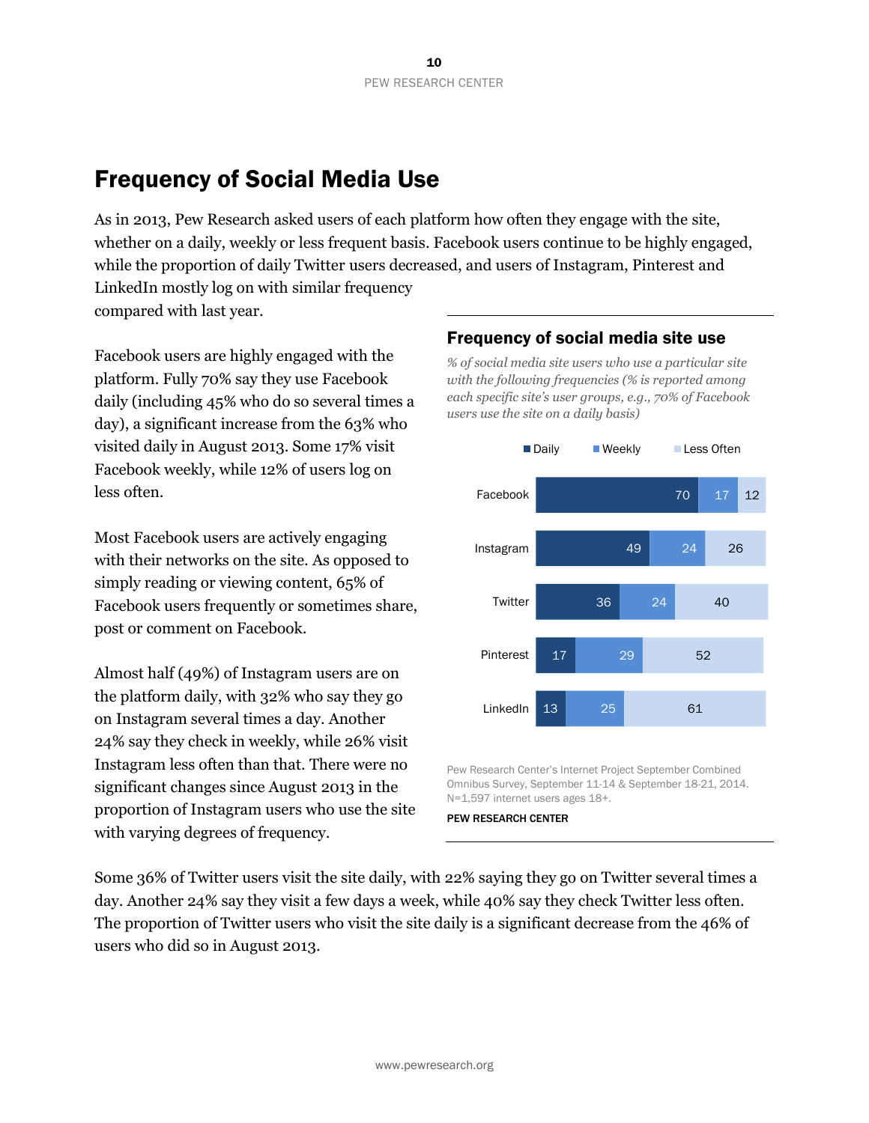# Frequency of Social Media Use

As in 2013, Pew Research asked users of each platform how often they engage with the site, whether on a daily, weekly or less frequent basis. Facebook users continue to be highly engaged, while the proportion of daily Twitter users decreased, and users of Instagram, Pinterest and LinkedIn mostly log on with similar frequency compared with last year.

Facebook users are highly engaged with the platform. Fully 70% say they use Facebook daily (including 45% who do so several times a day), a significant increase from the 63% who visited daily in August 2013. Some 17% visit Facebook weekly, while 12% of users log on less often.

Most Facebook users are actively engaging with their networks on the site. As opposed to simply reading or viewing content, 65% of Facebook users frequently or sometimes share, post or comment on Facebook.

Almost half (49%) of Instagram users are on the platform daily, with 32% who say they go on Instagram several times a day. Another 24% say they check in weekly, while 26% visit Instagram less often than that. There were no significant changes since August 2013 in the proportion of Instagram users who use the site with varying degrees of frequency.

### Frequency of social media site use

*% of social media site users who use a particular site with the following frequencies (% is reported among each specific site's user groups, e.g., 70% of Facebook users use the site on a daily basis)*



Pew Research Center's Internet Project September Combined Omnibus Survey, September 11-14 & September 18-21, 2014. N=1,597 internet users ages 18+.

PEW RESEARCH CENTER

Some 36% of Twitter users visit the site daily, with 22% saying they go on Twitter several times a day. Another 24% say they visit a few days a week, while 40% say they check Twitter less often. The proportion of Twitter users who visit the site daily is a significant decrease from the 46% of users who did so in August 2013.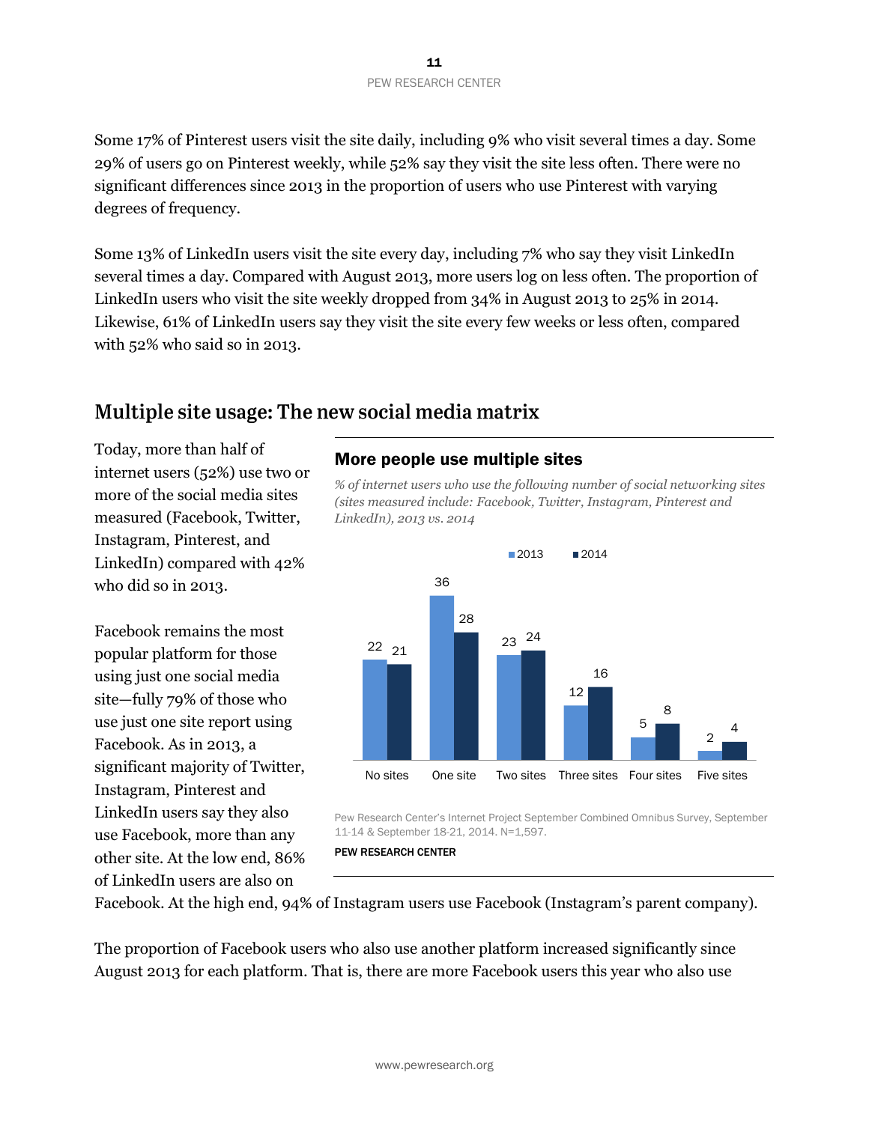Some 17% of Pinterest users visit the site daily, including 9% who visit several times a day. Some 29% of users go on Pinterest weekly, while 52% say they visit the site less often. There were no significant differences since 2013 in the proportion of users who use Pinterest with varying degrees of frequency.

Some 13% of LinkedIn users visit the site every day, including 7% who say they visit LinkedIn several times a day. Compared with August 2013, more users log on less often. The proportion of LinkedIn users who visit the site weekly dropped from 34% in August 2013 to 25% in 2014. Likewise, 61% of LinkedIn users say they visit the site every few weeks or less often, compared with 52% who said so in 2013.

# Multiple site usage: The new social media matrix

Today, more than half of internet users (52%) use two or more of the social media sites measured (Facebook, Twitter, Instagram, Pinterest, and LinkedIn) compared with 42% who did so in 2013.

Facebook remains the most popular platform for those using just one social media site—fully 79% of those who use just one site report using Facebook. As in 2013, a significant majority of Twitter, Instagram, Pinterest and LinkedIn users say they also use Facebook, more than any other site. At the low end, 86% of LinkedIn users are also on

### More people use multiple sites

*% of internet users who use the following number of social networking sites (sites measured include: Facebook, Twitter, Instagram, Pinterest and LinkedIn), 2013 vs. 2014*



Pew Research Center's Internet Project September Combined Omnibus Survey, September 11-14 & September 18-21, 2014. N=1,597.

Facebook. At the high end, 94% of Instagram users use Facebook (Instagram's parent company).

The proportion of Facebook users who also use another platform increased significantly since August 2013 for each platform. That is, there are more Facebook users this year who also use

PEW RESEARCH CENTER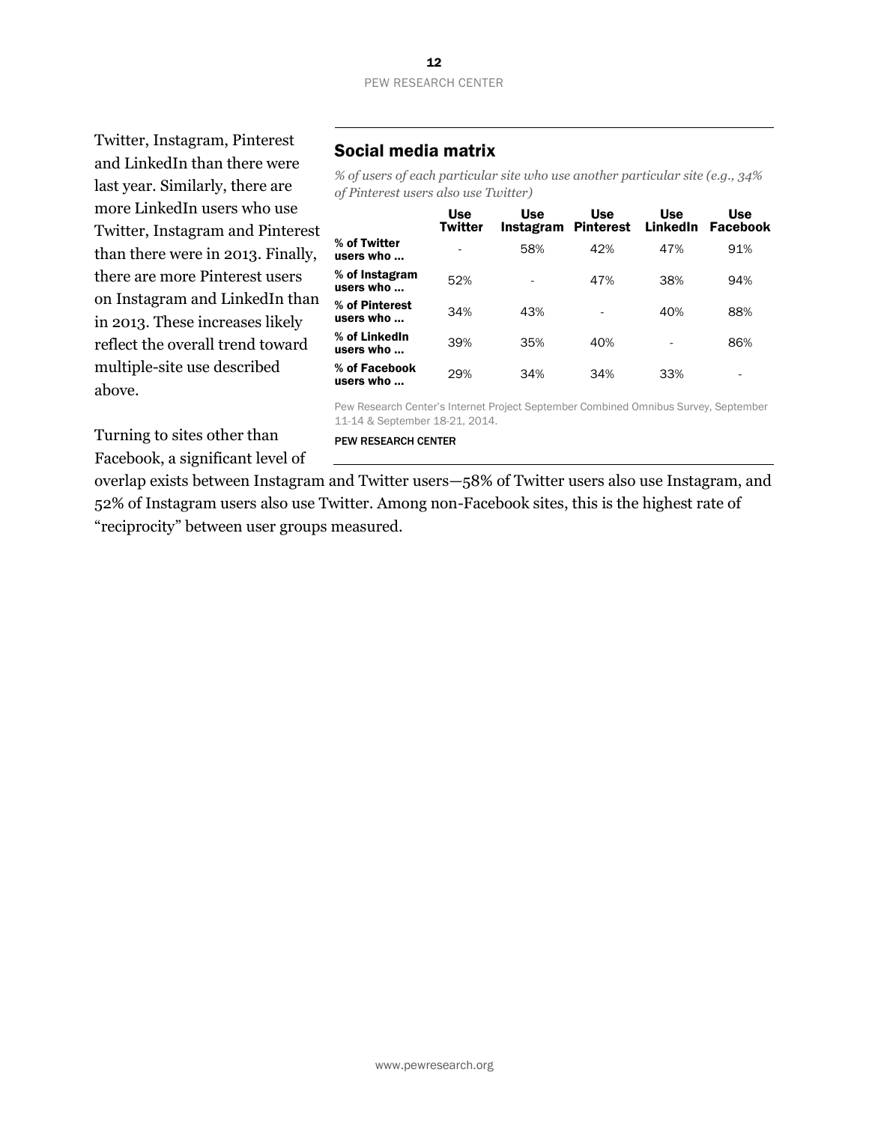#### 12 PEW RESEARCH CENTER

Twitter, Instagram, Pinterest and LinkedIn than there were last year. Similarly, there are more LinkedIn users who use Twitter, Instagram and Pinterest than there were in 2013. Finally, there are more Pinterest users on Instagram and LinkedIn than in 2013. These increases likely reflect the overall trend toward multiple-site use described above.

### Social media matrix

*% of users of each particular site who use another particular site (e.g., 34% of Pinterest users also use Twitter)*

|                             | <b>Use</b><br><b>Twitter</b> | Use<br>Instagram Pinterest | Use | <b>Use</b><br>LinkedIn | <b>Use</b><br><b>Facebook</b> |
|-----------------------------|------------------------------|----------------------------|-----|------------------------|-------------------------------|
| % of Twitter<br>users who … |                              | 58%                        | 42% | 47%                    | 91%                           |
| % of Instagram<br>users who | 52%                          |                            | 47% | 38%                    | 94%                           |
| % of Pinterest<br>users who | 34%                          | 43%                        |     | 40%                    | 88%                           |
| % of LinkedIn<br>users who  | 39%                          | 35%                        | 40% |                        | 86%                           |
| % of Facebook<br>users who  | 29%                          | 34%                        | 34% | 33%                    |                               |

Pew Research Center's Internet Project September Combined Omnibus Survey, September 11-14 & September 18-21, 2014.

PEW RESEARCH CENTER

Turning to sites other than Facebook, a significant level of

overlap exists between Instagram and Twitter users—58% of Twitter users also use Instagram, and 52% of Instagram users also use Twitter. Among non-Facebook sites, this is the highest rate of "reciprocity" between user groups measured.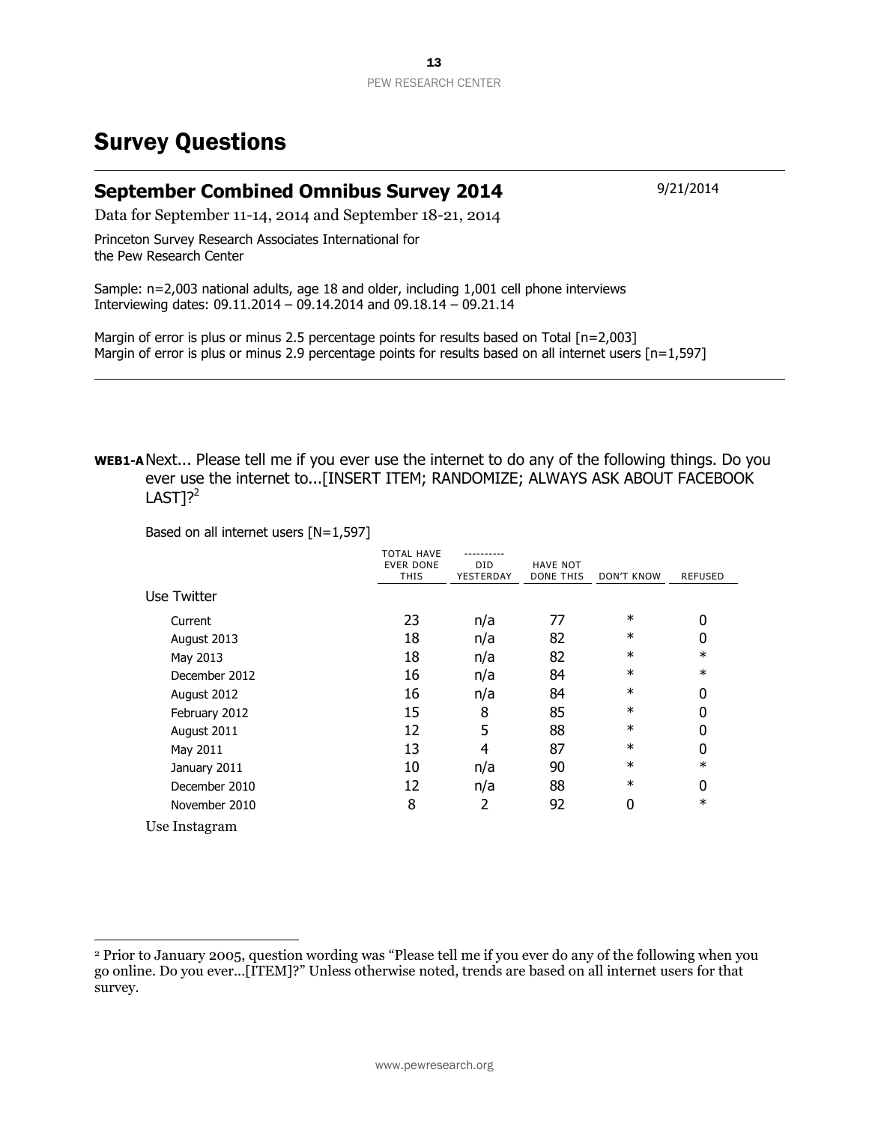# Survey Questions

### **September Combined Omnibus Survey 2014** 9/21/2014

Data for September 11-14, 2014 and September 18-21, 2014

Princeton Survey Research Associates International for the Pew Research Center

Sample: n=2,003 national adults, age 18 and older, including 1,001 cell phone interviews Interviewing dates: 09.11.2014 – 09.14.2014 and 09.18.14 – 09.21.14

Margin of error is plus or minus 2.5 percentage points for results based on Total [n=2,003] Margin of error is plus or minus 2.9 percentage points for results based on all internet users [n=1,597]

**WEB1-A**Next... Please tell me if you ever use the internet to do any of the following things. Do you ever use the internet to...[INSERT ITEM; RANDOMIZE; ALWAYS ASK ABOUT FACEBOOK  $LASTl?$ 

Based on all internet users [N=1,597]

 $\overline{a}$ 

|               | TOTAL HAVE<br><b>EVER DONE</b><br>THIS | <b>DID</b><br>YESTERDAY | <b>HAVE NOT</b><br>DONE THIS | DON'T KNOW | <b>REFUSED</b> |
|---------------|----------------------------------------|-------------------------|------------------------------|------------|----------------|
| Use Twitter   |                                        |                         |                              |            |                |
| Current       | 23                                     | n/a                     | 77                           | $\ast$     | 0              |
| August 2013   | 18                                     | n/a                     | 82                           | $\ast$     | 0              |
| May 2013      | 18                                     | n/a                     | 82                           | $\ast$     | $\ast$         |
| December 2012 | 16                                     | n/a                     | 84                           | $\ast$     | $\ast$         |
| August 2012   | 16                                     | n/a                     | 84                           | $\ast$     | 0              |
| February 2012 | 15                                     | 8                       | 85                           | $\ast$     | 0              |
| August 2011   | 12                                     | 5                       | 88                           | $\ast$     | 0              |
| May 2011      | 13                                     | 4                       | 87                           | $\ast$     | 0              |
| January 2011  | 10                                     | n/a                     | 90                           | $\ast$     | $\ast$         |
| December 2010 | 12                                     | n/a                     | 88                           | $\ast$     | 0              |
| November 2010 | 8                                      | 2                       | 92                           | 0          | $\ast$         |
| Use Instagram |                                        |                         |                              |            |                |

<sup>2</sup> Prior to January 2005, question wording was "Please tell me if you ever do any of the following when you go online. Do you ever...[ITEM]?" Unless otherwise noted, trends are based on all internet users for that survey.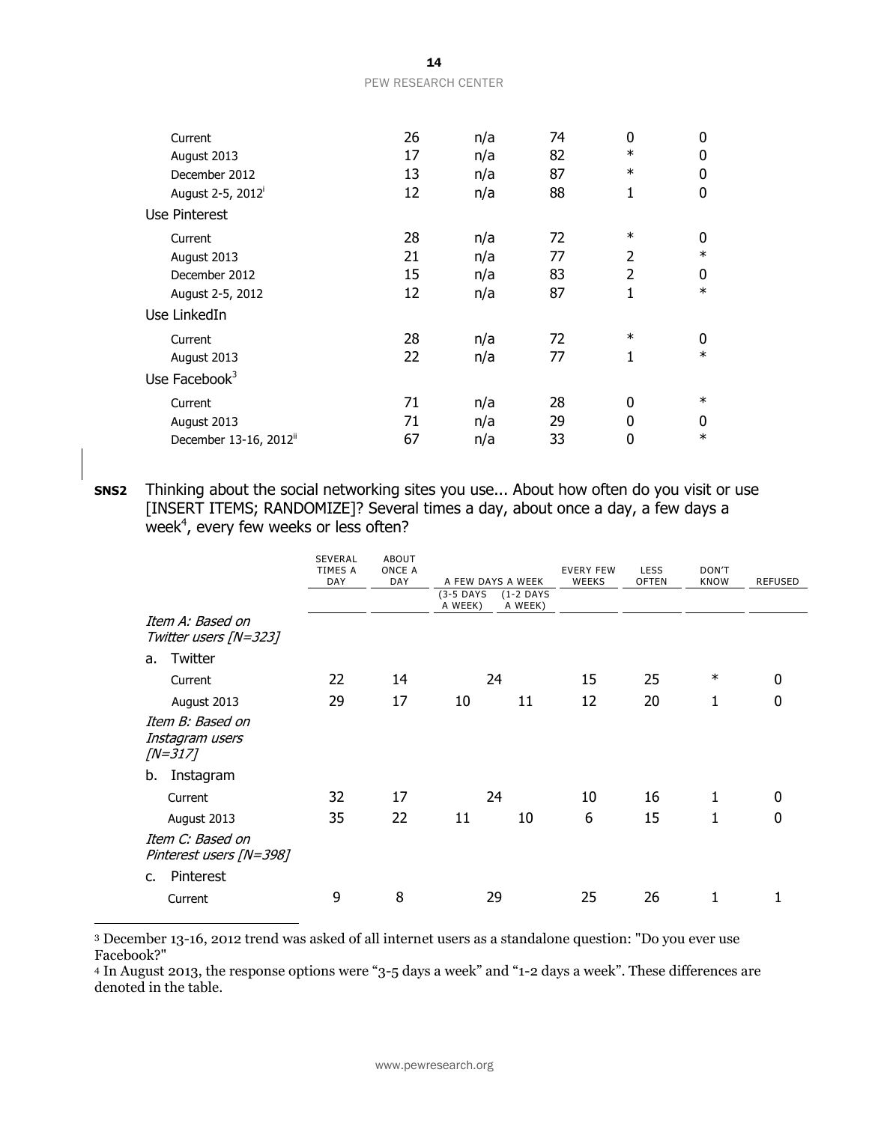| www.pewresearch.org |  |
|---------------------|--|

| 14                         |  |
|----------------------------|--|
| <b>PEW RESEARCH CENTER</b> |  |

| Current                            | 26 | n/a | 74 | 0              | $\mathbf{0}$ |
|------------------------------------|----|-----|----|----------------|--------------|
| August 2013                        | 17 | n/a | 82 | $\ast$         | 0            |
| December 2012                      | 13 | n/a | 87 | $\ast$         | 0            |
| August 2-5, 2012 <sup>i</sup>      | 12 | n/a | 88 | $\mathbf{1}$   | $\mathbf 0$  |
| Use Pinterest                      |    |     |    |                |              |
| Current                            | 28 | n/a | 72 | $\ast$         | 0            |
| August 2013                        | 21 | n/a | 77 | $\overline{2}$ | $\ast$       |
| December 2012                      | 15 | n/a | 83 | 2              | $\mathbf{0}$ |
| August 2-5, 2012                   | 12 | n/a | 87 | 1              | $\ast$       |
| Use LinkedIn                       |    |     |    |                |              |
| Current                            | 28 | n/a | 72 | $\ast$         | 0            |
| August 2013                        | 22 | n/a | 77 | 1              | $\ast$       |
| Use Facebook $3$                   |    |     |    |                |              |
| Current                            | 71 | n/a | 28 | 0              | $\ast$       |
| August 2013                        | 71 | n/a | 29 | 0              | $\mathbf{0}$ |
| December 13-16, 2012 <sup>ii</sup> | 67 | n/a | 33 | 0              | $\ast$       |

**SNS2** Thinking about the social networking sites you use... About how often do you visit or use [INSERT ITEMS; RANDOMIZE]? Several times a day, about once a day, a few days a week $^4$ , every few weeks or less often?

|               |                                                   | <b>SEVERAL</b><br><b>TIMES A</b><br><b>DAY</b> | <b>ABOUT</b><br>ONCE A<br><b>DAY</b> | $(3-5$ DAYS | A FEW DAYS A WEEK<br>$(1-2$ DAYS | <b>EVERY FEW</b><br><b>WEEKS</b> | <b>LESS</b><br><b>OFTEN</b> | DON'T<br><b>KNOW</b> | <b>REFUSED</b> |
|---------------|---------------------------------------------------|------------------------------------------------|--------------------------------------|-------------|----------------------------------|----------------------------------|-----------------------------|----------------------|----------------|
|               | Item A: Based on<br>Twitter users [N=323]         |                                                |                                      | A WEEK)     | A WEEK)                          |                                  |                             |                      |                |
| a.            | Twitter                                           |                                                |                                      |             |                                  |                                  |                             |                      |                |
|               | Current                                           | 22                                             | 14                                   |             | 24                               | 15                               | 25                          | $\ast$               | 0              |
|               | August 2013                                       | 29                                             | 17                                   | 10          | 11                               | 12                               | 20                          | 1                    | 0              |
|               | Item B: Based on<br>Instagram users<br>$/N = 317$ |                                                |                                      |             |                                  |                                  |                             |                      |                |
| b.            | Instagram                                         |                                                |                                      |             |                                  |                                  |                             |                      |                |
|               | Current                                           | 32                                             | 17                                   |             | 24                               | 10                               | 16                          | 1                    | 0              |
|               | August 2013                                       | 35                                             | 22                                   | 11          | 10                               | 6                                | 15                          | 1                    | 0              |
|               | Item C: Based on<br>Pinterest users [N=398]       |                                                |                                      |             |                                  |                                  |                             |                      |                |
| $C_{\bullet}$ | Pinterest                                         |                                                |                                      |             |                                  |                                  |                             |                      |                |
|               | Current                                           | 9                                              | 8                                    |             | 29                               | 25                               | 26                          |                      |                |

<sup>3</sup> December 13-16, 2012 trend was asked of all internet users as a standalone question: "Do you ever use Facebook?"

 $\overline{a}$ 

<sup>4</sup> In August 2013, the response options were "3-5 days a week" and "1-2 days a week". These differences are denoted in the table.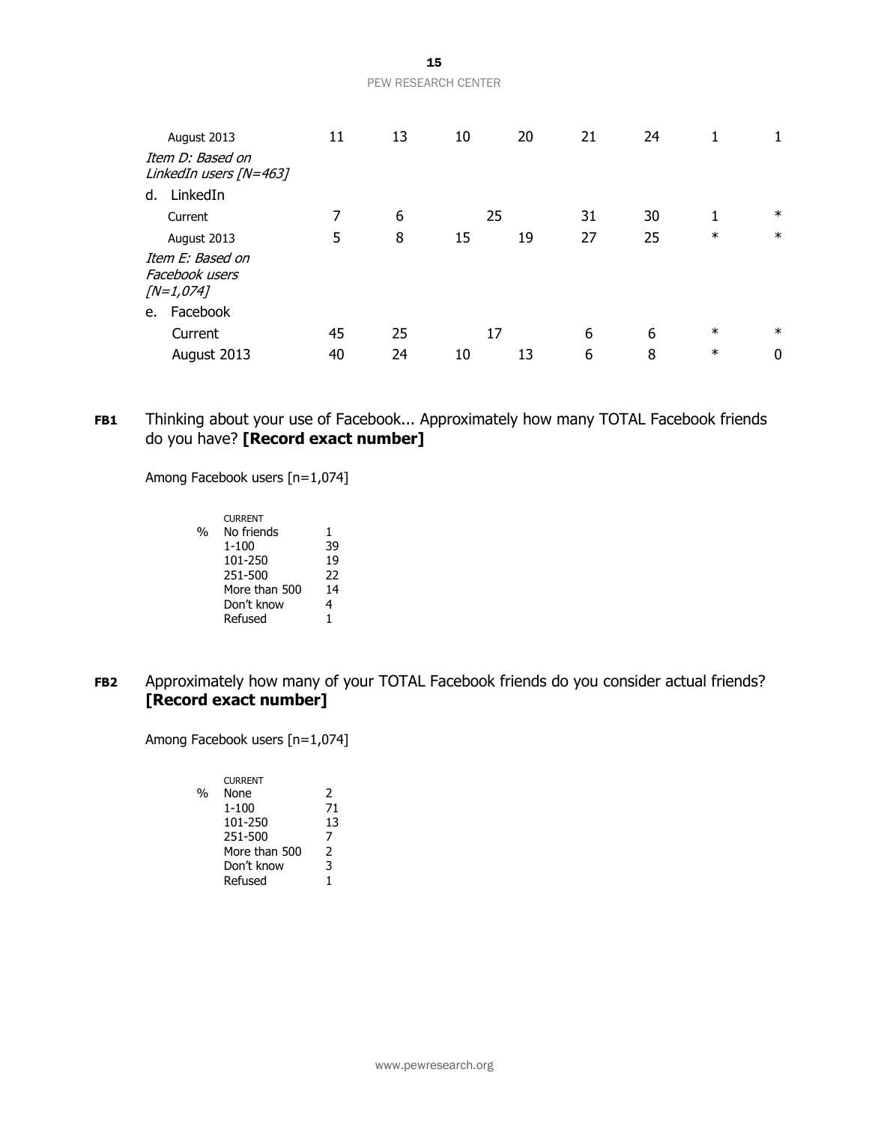| <b>PEW RESEARCH CENTER</b> |  |
|----------------------------|--|

|    | August 2013                                        | 11 | 13 | 10 | 20 | 21 | 24 | 1      |        |
|----|----------------------------------------------------|----|----|----|----|----|----|--------|--------|
|    | Item D: Based on<br>LinkedIn users [N=463]         |    |    |    |    |    |    |        |        |
| d. | LinkedIn                                           |    |    |    |    |    |    |        |        |
|    | Current                                            | 7  | 6  | 25 |    | 31 | 30 |        | $\ast$ |
|    | August 2013                                        | 5  | 8  | 15 | 19 | 27 | 25 | $\ast$ | $\ast$ |
|    | Item E: Based on<br>Facebook users<br>$[N=1, 074]$ |    |    |    |    |    |    |        |        |
| e. | Facebook                                           |    |    |    |    |    |    |        |        |
|    | Current                                            | 45 | 25 | 17 |    | 6  | 6  | $\ast$ | $\ast$ |
|    | August 2013                                        | 40 | 24 | 10 | 13 | 6  | 8  | $\ast$ | 0      |

**FB1** Thinking about your use of Facebook... Approximately how many TOTAL Facebook friends do you have? **[Record exact number]**

Among Facebook users [n=1,074]

|   | <b>CURRENT</b> |    |
|---|----------------|----|
| % | No friends     | 1  |
|   | $1 - 100$      | 39 |
|   | 101-250        | 19 |
|   | 251-500        | 22 |
|   | More than 500  | 14 |
|   | Don't know     | 4  |
|   | Refused        | 1  |
|   |                |    |

**FB2** Approximately how many of your TOTAL Facebook friends do you consider actual friends? **[Record exact number]**

Among Facebook users [n=1,074]

|               | <b>CURRENT</b> |    |
|---------------|----------------|----|
| $\frac{0}{0}$ | None           | 2  |
|               | $1 - 100$      | 71 |
|               | 101-250        | 13 |
|               | 251-500        | 7  |
|               | More than 500  | 2  |
|               | Don't know     | 3  |
|               | Refused        |    |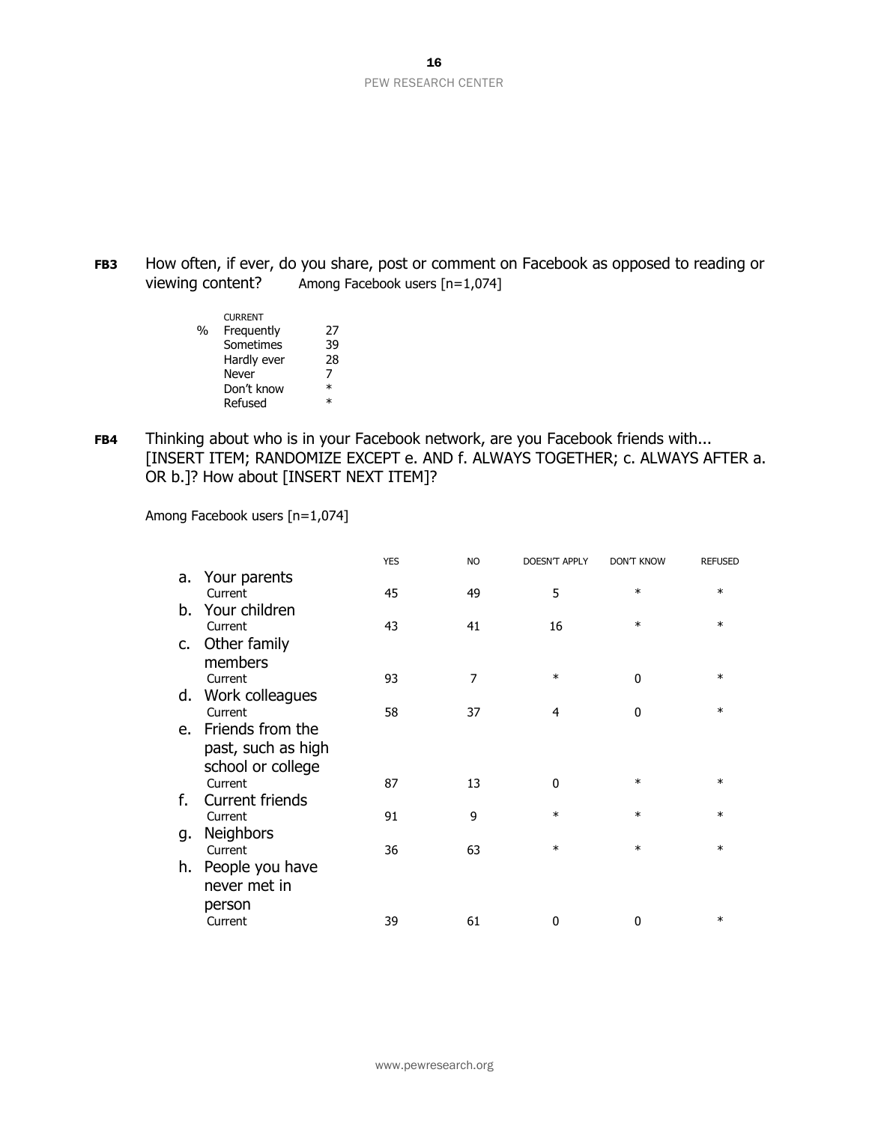16 PEW RESEARCH CENTER

**FB3** How often, if ever, do you share, post or comment on Facebook as opposed to reading or viewing content? Among Facebook users [n=1,074]

|   | <b>CURRENT</b> |        |
|---|----------------|--------|
| % | Frequently     | 27     |
|   | Sometimes      | 39     |
|   | Hardly ever    | 28     |
|   | Never          | 7      |
|   | Don't know     | $\ast$ |
|   | Refused        | $\ast$ |

**FB4** Thinking about who is in your Facebook network, are you Facebook friends with... [INSERT ITEM; RANDOMIZE EXCEPT e. AND f. ALWAYS TOGETHER; c. ALWAYS AFTER a. OR b.]? How about [INSERT NEXT ITEM]?

Among Facebook users [n=1,074]

|                    | <b>YES</b>                                                                                                                                     | <b>NO</b> | <b>DOESN'T APPLY</b> | <b>DON'T KNOW</b> | <b>REFUSED</b> |
|--------------------|------------------------------------------------------------------------------------------------------------------------------------------------|-----------|----------------------|-------------------|----------------|
|                    |                                                                                                                                                |           |                      |                   |                |
| Current            | 45                                                                                                                                             | 49        | 5                    | $\ast$            | $\ast$         |
| Your children      |                                                                                                                                                |           |                      |                   |                |
| Current            | 43                                                                                                                                             | 41        | 16                   | $\ast$            | $\ast$         |
|                    |                                                                                                                                                |           |                      |                   |                |
| members            |                                                                                                                                                |           |                      |                   |                |
| Current            | 93                                                                                                                                             | 7         | $\ast$               | $\mathbf 0$       | $\ast$         |
| Work colleagues    |                                                                                                                                                |           |                      |                   |                |
| Current            | 58                                                                                                                                             | 37        | 4                    | $\mathbf{0}$      | $\ast$         |
|                    |                                                                                                                                                |           |                      |                   |                |
| past, such as high |                                                                                                                                                |           |                      |                   |                |
|                    |                                                                                                                                                |           |                      |                   |                |
| Current            | 87                                                                                                                                             | 13        | 0                    | $\ast$            | $\ast$         |
| Current friends    |                                                                                                                                                |           |                      |                   |                |
| Current            | 91                                                                                                                                             | 9         | $\ast$               | $\ast$            | $\ast$         |
|                    |                                                                                                                                                |           |                      |                   |                |
| Current            | 36                                                                                                                                             | 63        | $\ast$               | $\ast$            | $\ast$         |
|                    |                                                                                                                                                |           |                      |                   |                |
| never met in       |                                                                                                                                                |           |                      |                   |                |
|                    |                                                                                                                                                |           |                      |                   |                |
| Current            | 39                                                                                                                                             | 61        | 0                    | 0                 | $\ast$         |
|                    | a. Your parents<br>Other family<br>C.<br>d.<br>e. Friends from the<br>school or college<br><b>Neighbors</b><br>People you have<br>h.<br>person |           |                      |                   |                |